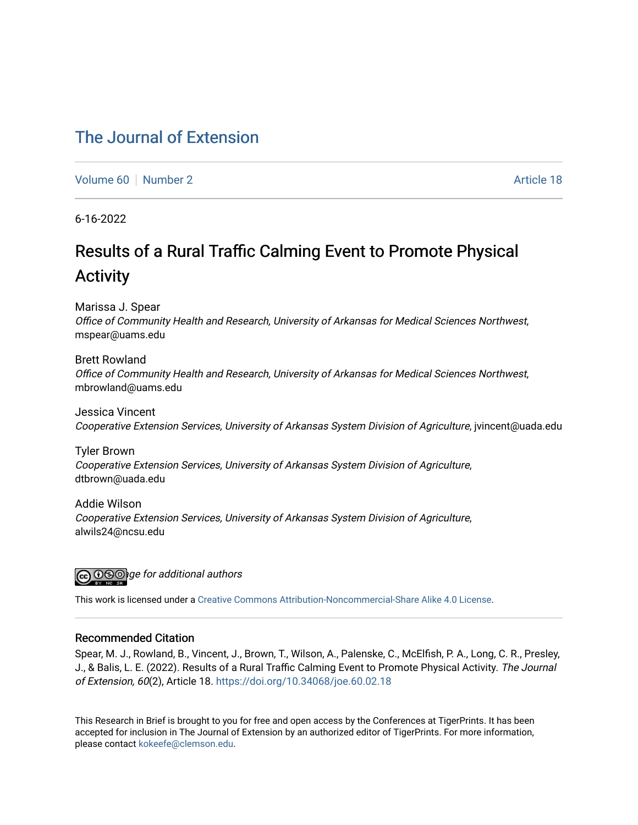# [The Journal of Extension](https://tigerprints.clemson.edu/joe)

[Volume 60](https://tigerprints.clemson.edu/joe/vol60) [Number 2](https://tigerprints.clemson.edu/joe/vol60/iss2) Article 18

6-16-2022

# Results of a Rural Traffic Calming Event to Promote Physical Activity

Marissa J. Spear

Office of Community Health and Research, University of Arkansas for Medical Sciences Northwest, mspear@uams.edu

Brett Rowland Office of Community Health and Research, University of Arkansas for Medical Sciences Northwest, mbrowland@uams.edu

Jessica Vincent Cooperative Extension Services, University of Arkansas System Division of Agriculture, jvincent@uada.edu

Tyler Brown Cooperative Extension Services, University of Arkansas System Division of Agriculture, dtbrown@uada.edu

Addie Wilson Cooperative Extension Services, University of Arkansas System Division of Agriculture, alwils24@ncsu.edu



This work is licensed under a [Creative Commons Attribution-Noncommercial-Share Alike 4.0 License.](https://creativecommons.org/licenses/by-nc-sa/4.0/)

#### Recommended Citation

Spear, M. J., Rowland, B., Vincent, J., Brown, T., Wilson, A., Palenske, C., McElfish, P. A., Long, C. R., Presley, J., & Balis, L. E. (2022). Results of a Rural Traffic Calming Event to Promote Physical Activity. The Journal of Extension, 60(2), Article 18.<https://doi.org/10.34068/joe.60.02.18>

This Research in Brief is brought to you for free and open access by the Conferences at TigerPrints. It has been accepted for inclusion in The Journal of Extension by an authorized editor of TigerPrints. For more information, please contact [kokeefe@clemson.edu](mailto:kokeefe@clemson.edu).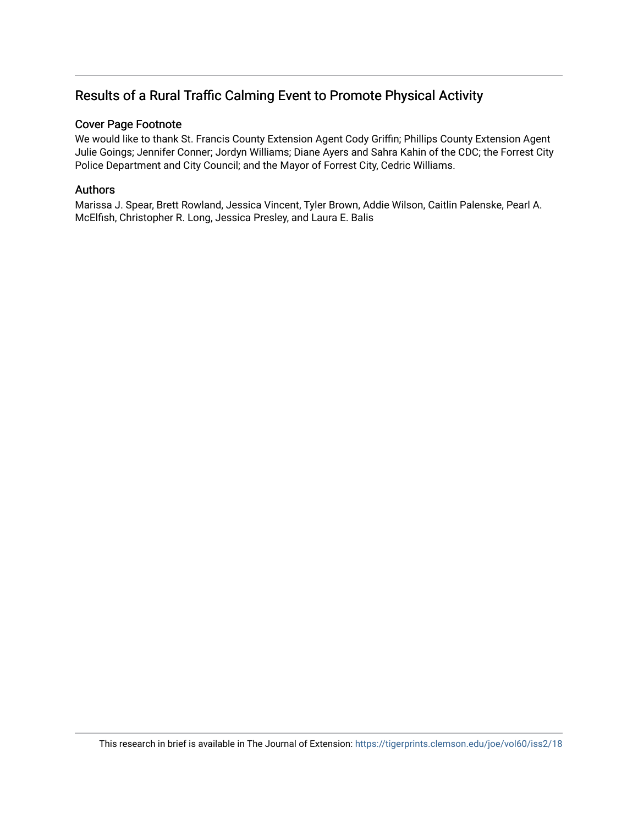# Results of a Rural Traffic Calming Event to Promote Physical Activity

# Cover Page Footnote

We would like to thank St. Francis County Extension Agent Cody Griffin; Phillips County Extension Agent Julie Goings; Jennifer Conner; Jordyn Williams; Diane Ayers and Sahra Kahin of the CDC; the Forrest City Police Department and City Council; and the Mayor of Forrest City, Cedric Williams.

# Authors

Marissa J. Spear, Brett Rowland, Jessica Vincent, Tyler Brown, Addie Wilson, Caitlin Palenske, Pearl A. McElfish, Christopher R. Long, Jessica Presley, and Laura E. Balis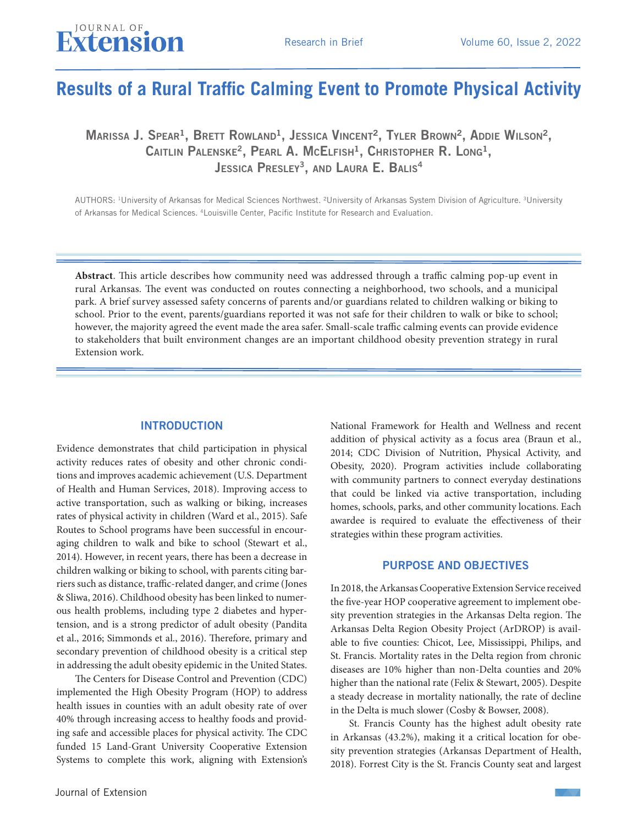# **Results of a Rural Traffic Calming Event to Promote Physical Activity**

MARISSA J. SPEAR<sup>1</sup>, BRETT ROWLAND<sup>1</sup>, JESSICA VINCENT<sup>2</sup>, TYLER BROWN<sup>2</sup>, ADDIE WILSON<sup>2</sup>, CAITLIN PALENSKE<sup>2</sup>, PEARL A. MCELFISH<sup>1</sup>, CHRISTOPHER R. LONG<sup>1</sup>, JESSICA PRESLEY<sup>3</sup>, AND LAURA E. BALIS<sup>4</sup>

AUTHORS: 1University of Arkansas for Medical Sciences Northwest. ²University of Arkansas System Division of Agriculture. 3University of Arkansas for Medical Sciences. 4Louisville Center, Pacific Institute for Research and Evaluation.

**Abstract**. This article describes how community need was addressed through a traffic calming pop-up event in rural Arkansas. The event was conducted on routes connecting a neighborhood, two schools, and a municipal park. A brief survey assessed safety concerns of parents and/or guardians related to children walking or biking to school. Prior to the event, parents/guardians reported it was not safe for their children to walk or bike to school; however, the majority agreed the event made the area safer. Small-scale traffic calming events can provide evidence to stakeholders that built environment changes are an important childhood obesity prevention strategy in rural Extension work.

#### INTRODUCTION

Evidence demonstrates that child participation in physical activity reduces rates of obesity and other chronic conditions and improves academic achievement (U.S. Department of Health and Human Services, 2018). Improving access to active transportation, such as walking or biking, increases rates of physical activity in children (Ward et al., 2015). Safe Routes to School programs have been successful in encouraging children to walk and bike to school (Stewart et al., 2014). However, in recent years, there has been a decrease in children walking or biking to school, with parents citing barriers such as distance, traffic-related danger, and crime (Jones & Sliwa, 2016). Childhood obesity has been linked to numerous health problems, including type 2 diabetes and hypertension, and is a strong predictor of adult obesity (Pandita et al., 2016; Simmonds et al., 2016). Therefore, primary and secondary prevention of childhood obesity is a critical step in addressing the adult obesity epidemic in the United States.

The Centers for Disease Control and Prevention (CDC) implemented the High Obesity Program (HOP) to address health issues in counties with an adult obesity rate of over 40% through increasing access to healthy foods and providing safe and accessible places for physical activity. The CDC funded 15 Land-Grant University Cooperative Extension Systems to complete this work, aligning with Extension's

National Framework for Health and Wellness and recent addition of physical activity as a focus area (Braun et al., 2014; CDC Division of Nutrition, Physical Activity, and Obesity, 2020). Program activities include collaborating with community partners to connect everyday destinations that could be linked via active transportation, including homes, schools, parks, and other community locations. Each awardee is required to evaluate the effectiveness of their strategies within these program activities.

#### PURPOSE AND OBJECTIVES

In 2018, the Arkansas Cooperative Extension Service received the five-year HOP cooperative agreement to implement obesity prevention strategies in the Arkansas Delta region. The Arkansas Delta Region Obesity Project (ArDROP) is available to five counties: Chicot, Lee, Mississippi, Philips, and St. Francis. Mortality rates in the Delta region from chronic diseases are 10% higher than non-Delta counties and 20% higher than the national rate (Felix & Stewart, 2005). Despite a steady decrease in mortality nationally, the rate of decline in the Delta is much slower (Cosby & Bowser, 2008).

St. Francis County has the highest adult obesity rate in Arkansas (43.2%), making it a critical location for obesity prevention strategies (Arkansas Department of Health, 2018). Forrest City is the St. Francis County seat and largest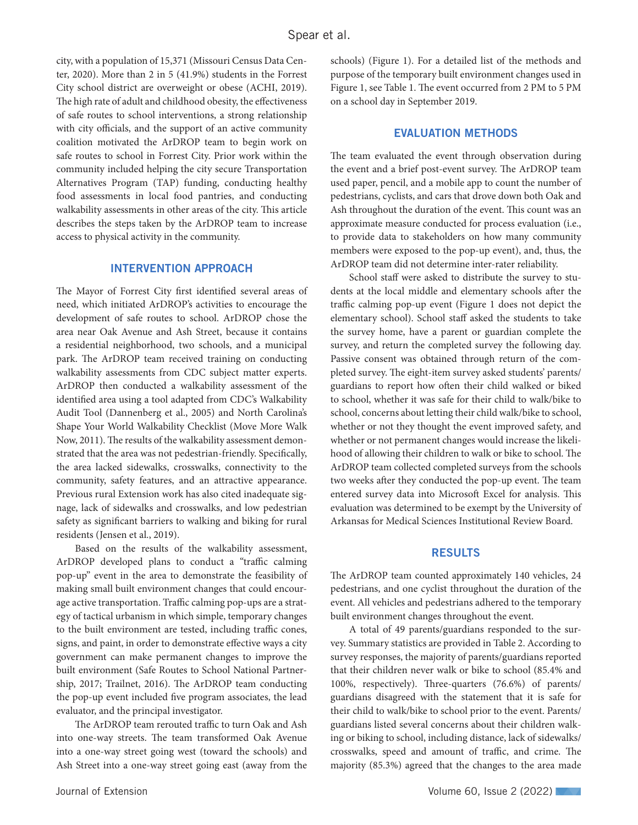city, with a population of 15,371 (Missouri Census Data Center, 2020). More than 2 in 5 (41.9%) students in the Forrest City school district are overweight or obese (ACHI, 2019). The high rate of adult and childhood obesity, the effectiveness of safe routes to school interventions, a strong relationship with city officials, and the support of an active community coalition motivated the ArDROP team to begin work on safe routes to school in Forrest City. Prior work within the community included helping the city secure Transportation Alternatives Program (TAP) funding, conducting healthy food assessments in local food pantries, and conducting walkability assessments in other areas of the city. This article describes the steps taken by the ArDROP team to increase access to physical activity in the community.

#### INTERVENTION APPROACH

The Mayor of Forrest City first identified several areas of need, which initiated ArDROP's activities to encourage the development of safe routes to school. ArDROP chose the area near Oak Avenue and Ash Street, because it contains a residential neighborhood, two schools, and a municipal park. The ArDROP team received training on conducting walkability assessments from CDC subject matter experts. ArDROP then conducted a walkability assessment of the identified area using a tool adapted from CDC's Walkability Audit Tool (Dannenberg et al., 2005) and North Carolina's Shape Your World Walkability Checklist (Move More Walk Now, 2011). The results of the walkability assessment demonstrated that the area was not pedestrian-friendly. Specifically, the area lacked sidewalks, crosswalks, connectivity to the community, safety features, and an attractive appearance. Previous rural Extension work has also cited inadequate signage, lack of sidewalks and crosswalks, and low pedestrian safety as significant barriers to walking and biking for rural residents (Jensen et al., 2019).

Based on the results of the walkability assessment, ArDROP developed plans to conduct a "traffic calming pop-up" event in the area to demonstrate the feasibility of making small built environment changes that could encourage active transportation. Traffic calming pop-ups are a strategy of tactical urbanism in which simple, temporary changes to the built environment are tested, including traffic cones, signs, and paint, in order to demonstrate effective ways a city government can make permanent changes to improve the built environment (Safe Routes to School National Partnership, 2017; Trailnet, 2016). The ArDROP team conducting the pop-up event included five program associates, the lead evaluator, and the principal investigator.

The ArDROP team rerouted traffic to turn Oak and Ash into one-way streets. The team transformed Oak Avenue into a one-way street going west (toward the schools) and Ash Street into a one-way street going east (away from the

schools) (Figure 1). For a detailed list of the methods and purpose of the temporary built environment changes used in Figure 1, see Table 1. The event occurred from 2 PM to 5 PM on a school day in September 2019.

#### EVALUATION METHODS

The team evaluated the event through observation during the event and a brief post-event survey. The ArDROP team used paper, pencil, and a mobile app to count the number of pedestrians, cyclists, and cars that drove down both Oak and Ash throughout the duration of the event. This count was an approximate measure conducted for process evaluation (i.e., to provide data to stakeholders on how many community members were exposed to the pop-up event), and, thus, the ArDROP team did not determine inter-rater reliability.

School staff were asked to distribute the survey to students at the local middle and elementary schools after the traffic calming pop-up event (Figure 1 does not depict the elementary school). School staff asked the students to take the survey home, have a parent or guardian complete the survey, and return the completed survey the following day. Passive consent was obtained through return of the completed survey. The eight-item survey asked students' parents/ guardians to report how often their child walked or biked to school, whether it was safe for their child to walk/bike to school, concerns about letting their child walk/bike to school, whether or not they thought the event improved safety, and whether or not permanent changes would increase the likelihood of allowing their children to walk or bike to school. The ArDROP team collected completed surveys from the schools two weeks after they conducted the pop-up event. The team entered survey data into Microsoft Excel for analysis. This evaluation was determined to be exempt by the University of Arkansas for Medical Sciences Institutional Review Board.

#### RESULTS

The ArDROP team counted approximately 140 vehicles, 24 pedestrians, and one cyclist throughout the duration of the event. All vehicles and pedestrians adhered to the temporary built environment changes throughout the event.

A total of 49 parents/guardians responded to the survey. Summary statistics are provided in Table 2. According to survey responses, the majority of parents/guardians reported that their children never walk or bike to school (85.4% and 100%, respectively). Three-quarters (76.6%) of parents/ guardians disagreed with the statement that it is safe for their child to walk/bike to school prior to the event. Parents/ guardians listed several concerns about their children walking or biking to school, including distance, lack of sidewalks/ crosswalks, speed and amount of traffic, and crime. The majority (85.3%) agreed that the changes to the area made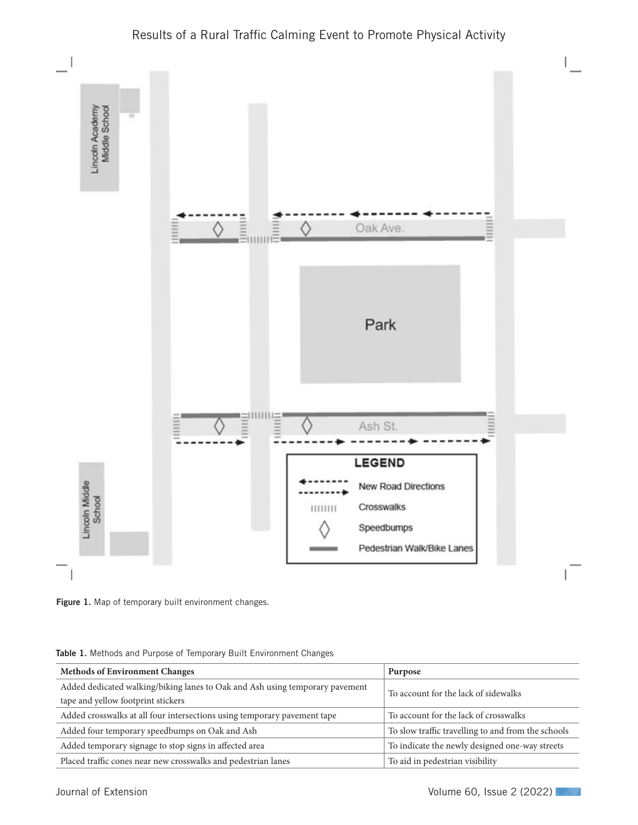



Figure 1. Map of temporary built environment changes.

| <b>Methods of Environment Changes</b>                                                                              | Purpose                                            |
|--------------------------------------------------------------------------------------------------------------------|----------------------------------------------------|
| Added dedicated walking/biking lanes to Oak and Ash using temporary pavement<br>tape and yellow footprint stickers | To account for the lack of sidewalks               |
| Added crosswalks at all four intersections using temporary payement tape                                           | To account for the lack of crosswalks              |
| Added four temporary speedbumps on Oak and Ash                                                                     | To slow traffic travelling to and from the schools |
| Added temporary signage to stop signs in affected area                                                             | To indicate the newly designed one-way streets     |
| Placed traffic cones near new crosswalks and pedestrian lanes                                                      | To aid in pedestrian visibility                    |

Table 1. Methods and Purpose of Temporary Built Environment Changes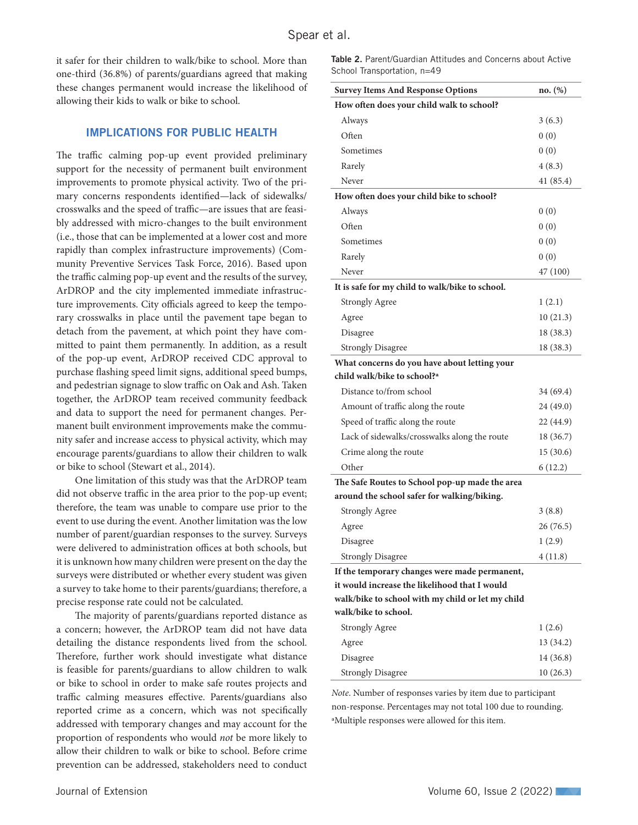it safer for their children to walk/bike to school. More than one-third (36.8%) of parents/guardians agreed that making these changes permanent would increase the likelihood of allowing their kids to walk or bike to school.

#### IMPLICATIONS FOR PUBLIC HEALTH

The traffic calming pop-up event provided preliminary support for the necessity of permanent built environment improvements to promote physical activity. Two of the primary concerns respondents identified—lack of sidewalks/ crosswalks and the speed of traffic—are issues that are feasibly addressed with micro-changes to the built environment (i.e., those that can be implemented at a lower cost and more rapidly than complex infrastructure improvements) (Community Preventive Services Task Force, 2016). Based upon the traffic calming pop-up event and the results of the survey, ArDROP and the city implemented immediate infrastructure improvements. City officials agreed to keep the temporary crosswalks in place until the pavement tape began to detach from the pavement, at which point they have committed to paint them permanently. In addition, as a result of the pop-up event, ArDROP received CDC approval to purchase flashing speed limit signs, additional speed bumps, and pedestrian signage to slow traffic on Oak and Ash. Taken together, the ArDROP team received community feedback and data to support the need for permanent changes. Permanent built environment improvements make the community safer and increase access to physical activity, which may encourage parents/guardians to allow their children to walk or bike to school (Stewart et al., 2014).

One limitation of this study was that the ArDROP team did not observe traffic in the area prior to the pop-up event; therefore, the team was unable to compare use prior to the event to use during the event. Another limitation was the low number of parent/guardian responses to the survey. Surveys were delivered to administration offices at both schools, but it is unknown how many children were present on the day the surveys were distributed or whether every student was given a survey to take home to their parents/guardians; therefore, a precise response rate could not be calculated.

The majority of parents/guardians reported distance as a concern; however, the ArDROP team did not have data detailing the distance respondents lived from the school. Therefore, further work should investigate what distance is feasible for parents/guardians to allow children to walk or bike to school in order to make safe routes projects and traffic calming measures effective. Parents/guardians also reported crime as a concern, which was not specifically addressed with temporary changes and may account for the proportion of respondents who would *not* be more likely to allow their children to walk or bike to school. Before crime prevention can be addressed, stakeholders need to conduct

Table 2. Parent/Guardian Attitudes and Concerns about Active School Transportation, n=49

| <b>Survey Items And Response Options</b>          | no. (%)   |
|---------------------------------------------------|-----------|
| How often does your child walk to school?         |           |
| Always                                            | 3(6.3)    |
| Often                                             | 0(0)      |
| Sometimes                                         | 0(0)      |
| Rarely                                            | 4(8.3)    |
| Never                                             | 41(85.4)  |
| How often does your child bike to school?         |           |
| Always                                            | 0(0)      |
| Often                                             | 0(0)      |
| Sometimes                                         | 0(0)      |
| Rarely                                            | 0(0)      |
| Never                                             | 47 (100)  |
| It is safe for my child to walk/bike to school.   |           |
| <b>Strongly Agree</b>                             | 1(2.1)    |
| Agree                                             | 10(21.3)  |
| Disagree                                          | 18 (38.3) |
| <b>Strongly Disagree</b>                          | 18 (38.3) |
| What concerns do you have about letting your      |           |
| child walk/bike to school? <sup>a</sup>           |           |
| Distance to/from school                           | 34 (69.4) |
| Amount of traffic along the route                 | 24 (49.0) |
| Speed of traffic along the route                  | 22 (44.9) |
| Lack of sidewalks/crosswalks along the route      | 18 (36.7) |
| Crime along the route                             | 15(30.6)  |
| Other                                             | 6 (12.2)  |
| The Safe Routes to School pop-up made the area    |           |
| around the school safer for walking/biking.       |           |
| <b>Strongly Agree</b>                             | 3(8.8)    |
| Agree                                             | 26 (76.5) |
| Disagree                                          | 1(2.9)    |
| <b>Strongly Disagree</b>                          | 4(11.8)   |
| If the temporary changes were made permanent,     |           |
| it would increase the likelihood that I would     |           |
| walk/bike to school with my child or let my child |           |
| walk/bike to school.                              |           |
| <b>Strongly Agree</b>                             | 1(2.6)    |
| Agree                                             | 13 (34.2) |
| Disagree                                          | 14 (36.8) |
| <b>Strongly Disagree</b>                          | 10(26.3)  |

*Note*. Number of responses varies by item due to participant non-response. Percentages may not total 100 due to rounding. aMultiple responses were allowed for this item.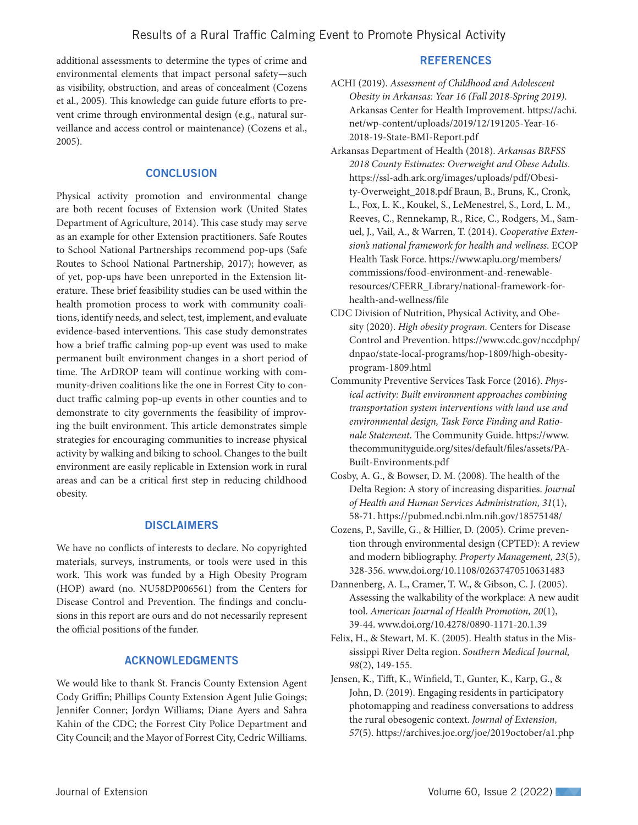additional assessments to determine the types of crime and environmental elements that impact personal safety—such as visibility, obstruction, and areas of concealment (Cozens et al., 2005). This knowledge can guide future efforts to prevent crime through environmental design (e.g., natural surveillance and access control or maintenance) (Cozens et al., 2005).

# **CONCLUSION**

Physical activity promotion and environmental change are both recent focuses of Extension work (United States Department of Agriculture, 2014). This case study may serve as an example for other Extension practitioners. Safe Routes to School National Partnerships recommend pop-ups (Safe Routes to School National Partnership, 2017); however, as of yet, pop-ups have been unreported in the Extension literature. These brief feasibility studies can be used within the health promotion process to work with community coalitions, identify needs, and select, test, implement, and evaluate evidence-based interventions. This case study demonstrates how a brief traffic calming pop-up event was used to make permanent built environment changes in a short period of time. The ArDROP team will continue working with community-driven coalitions like the one in Forrest City to conduct traffic calming pop-up events in other counties and to demonstrate to city governments the feasibility of improving the built environment. This article demonstrates simple strategies for encouraging communities to increase physical activity by walking and biking to school. Changes to the built environment are easily replicable in Extension work in rural areas and can be a critical first step in reducing childhood obesity.

### DISCLAIMERS

We have no conflicts of interests to declare. No copyrighted materials, surveys, instruments, or tools were used in this work. This work was funded by a High Obesity Program (HOP) award (no. NU58DP006561) from the Centers for Disease Control and Prevention. The findings and conclusions in this report are ours and do not necessarily represent the official positions of the funder.

### ACKNOWLEDGMENTS

We would like to thank St. Francis County Extension Agent Cody Griffin; Phillips County Extension Agent Julie Goings; Jennifer Conner; Jordyn Williams; Diane Ayers and Sahra Kahin of the CDC; the Forrest City Police Department and City Council; and the Mayor of Forrest City, Cedric Williams.

### REFERENCES

- ACHI (2019). *Assessment of Childhood and Adolescent Obesity in Arkansas: Year 16 (Fall 2018-Spring 2019)*. Arkansas Center for Health Improvement. https://achi. net/wp-content/uploads/2019/12/191205-Year-16- 2018-19-State-BMI-Report.pdf
- Arkansas Department of Health (2018). *Arkansas BRFSS 2018 County Estimates: Overweight and Obese Adults*. https://ssl-adh.ark.org/images/uploads/pdf/Obesity-Overweight\_2018.pdf Braun, B., Bruns, K., Cronk, L., Fox, L. K., Koukel, S., LeMenestrel, S., Lord, L. M., Reeves, C., Rennekamp, R., Rice, C., Rodgers, M., Samuel, J., Vail, A., & Warren, T. (2014). *Cooperative Extension's national framework for health and wellness*. ECOP Health Task Force. https://www.aplu.org/members/ commissions/food-environment-and-renewableresources/CFERR\_Library/national-framework-forhealth-and-wellness/file
- CDC Division of Nutrition, Physical Activity, and Obesity (2020). *High obesity program.* Centers for Disease Control and Prevention. https://www.cdc.gov/nccdphp/ dnpao/state-local-programs/hop-1809/high-obesityprogram-1809.html
- Community Preventive Services Task Force (2016). *Physical activity: Built environment approaches combining transportation system interventions with land use and environmental design, Task Force Finding and Rationale Statement*. The Community Guide. https://www. thecommunityguide.org/sites/default/files/assets/PA-Built-Environments.pdf
- Cosby, A. G., & Bowser, D. M. (2008). The health of the Delta Region: A story of increasing disparities. *Journal of Health and Human Services Administration, 31*(1), 58-71. https://pubmed.ncbi.nlm.nih.gov/18575148/
- Cozens, P., Saville, G., & Hillier, D. (2005). Crime prevention through environmental design (CPTED): A review and modern bibliography. *Property Management, 23*(5), 328-356. www.doi.org/10.1108/02637470510631483
- Dannenberg, A. L., Cramer, T. W., & Gibson, C. J. (2005). Assessing the walkability of the workplace: A new audit tool. *American Journal of Health Promotion, 20*(1), 39-44. www.doi.org/10.4278/0890-1171-20.1.39
- Felix, H., & Stewart, M. K. (2005). Health status in the Mississippi River Delta region. *Southern Medical Journal, 98*(2), 149-155.
- Jensen, K., Tifft, K., Winfield, T., Gunter, K., Karp, G., & John, D. (2019). Engaging residents in participatory photomapping and readiness conversations to address the rural obesogenic context. *Journal of Extension, 57*(5). https://archives.joe.org/joe/2019october/a1.php